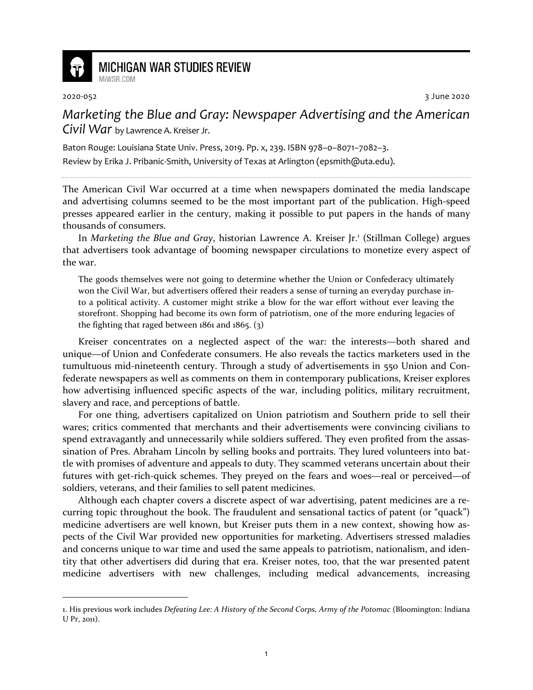

## **MICHIGAN WAR STUDIES REVIEW**

MiWSR COM

2020-052 3 June 2020

*Marketing the Blue and Gray: Newspaper Advertising and the American Civil War* by Lawrence A. Kreiser Jr.

Baton Rouge: Louisiana State Univ. Press, 2019. Pp. x, 239. ISBN 978–0–8071–7082–3. Review by Erika J. Pribanic-Smith, University of Texas at Arlington (epsmith@uta.edu).

The American Civil War occurred at a time when newspapers dominated the media landscape and advertising columns seemed to be the most important part of the publication. High-speed presses appeared earlier in the century, making it possible to put papers in the hands of many thousands of consumers.

In Marketing the Blue and Gray, historian Lawrence A. Kreiser Jr.<sup>1</sup> (Stillman College) argues that advertisers took advantage of booming newspaper circulations to monetize every aspect of the war.

The goods themselves were not going to determine whether the Union or Confederacy ultimately won the Civil War, but advertisers offered their readers a sense of turning an everyday purchase into a political activity. A customer might strike a blow for the war effort without ever leaving the storefront. Shopping had become its own form of patriotism, one of the more enduring legacies of the fighting that raged between  $1861$  and  $1865$ . (3)

Kreiser concentrates on a neglected aspect of the war: the interests—both shared and unique—of Union and Confederate consumers. He also reveals the tactics marketers used in the tumultuous mid-nineteenth century. Through a study of advertisements in 550 Union and Confederate newspapers as well as comments on them in contemporary publications, Kreiser explores how advertising influenced specific aspects of the war, including politics, military recruitment, slavery and race, and perceptions of battle.

For one thing, advertisers capitalized on Union patriotism and Southern pride to sell their wares; critics commented that merchants and their advertisements were convincing civilians to spend extravagantly and unnecessarily while soldiers suffered. They even profited from the assassination of Pres. Abraham Lincoln by selling books and portraits. They lured volunteers into battle with promises of adventure and appeals to duty. They scammed veterans uncertain about their futures with get-rich-quick schemes. They preyed on the fears and woes—real or perceived—of soldiers, veterans, and their families to sell patent medicines.

Although each chapter covers a discrete aspect of war advertising, patent medicines are a recurring topic throughout the book. The fraudulent and sensational tactics of patent (or "quack") medicine advertisers are well known, but Kreiser puts them in a new context, showing how aspects of the Civil War provided new opportunities for marketing. Advertisers stressed maladies and concerns unique to war time and used the same appeals to patriotism, nationalism, and identity that other advertisers did during that era. Kreiser notes, too, that the war presented patent medicine advertisers with new challenges, including medical advancements, increasing

<sup>1.</sup> His previous work includes *Defeating Lee: A History of the Second Corps, Army of the Potomac* (Bloomington: Indiana U Pr, 2011).